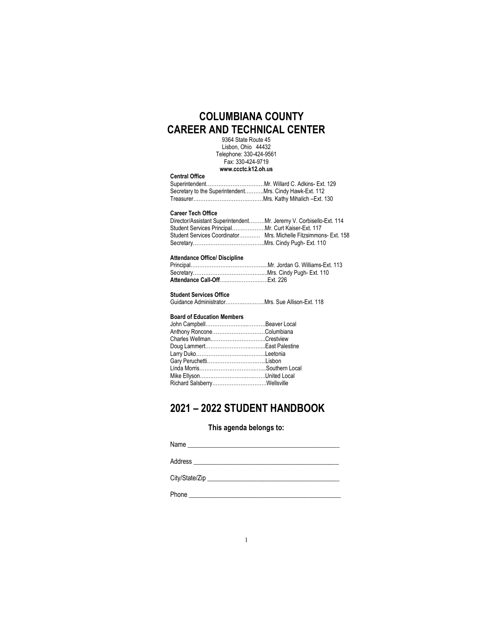# COLUMBIANA COUNTY CAREER AND TECHNICAL CENTER

9364 State Route 45 Lisbon, Ohio 44432 Telephone: 330-424-9561 Fax: 330-424-9719 www.ccctc.k12.oh.us

| <b>VEIINGI VIIIVE</b>                                   |  |
|---------------------------------------------------------|--|
|                                                         |  |
| Secretary to the SuperintendentMrs. Cindy Hawk-Ext. 112 |  |
|                                                         |  |

## Career Tech Office

Contral Office

| Director/Assistant SuperintendentMr. Jeremy V. Corbisello-Ext. 114 |  |
|--------------------------------------------------------------------|--|
|                                                                    |  |
| Student Services Coordinator Mrs. Michelle Fitzsimmons- Ext. 158   |  |
|                                                                    |  |
|                                                                    |  |

### Attendance Office/ Discipline

# Student Services Office<br>Guidance Administrator...

| Guidance AdministratorMrs. Sue Allison-Ext. 118 |  |  |  |  |
|-------------------------------------------------|--|--|--|--|
|-------------------------------------------------|--|--|--|--|

#### Board of Education Members

| Anthony RonconeColumbiana |  |
|---------------------------|--|
| Charles WellmanCrestview  |  |
|                           |  |
|                           |  |
|                           |  |
|                           |  |
|                           |  |
|                           |  |

# 2021 – 2022 STUDENT HANDBOOK

## This agenda belongs to:

| Name           |  |
|----------------|--|
| Address        |  |
| City/State/Zip |  |

Phone \_\_\_\_\_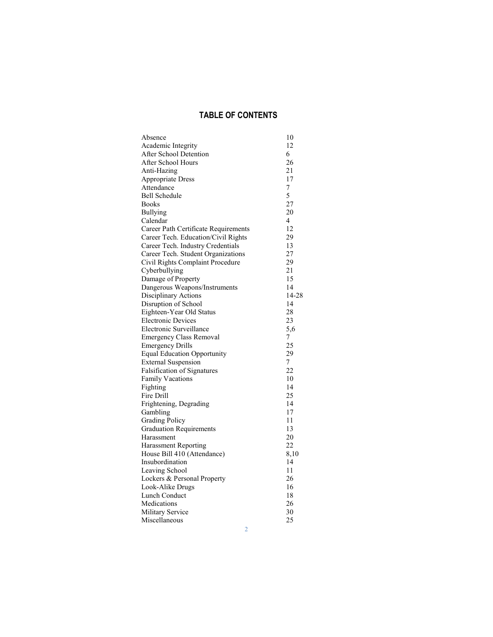# TABLE OF CONTENTS

| Absence                              | 10    |
|--------------------------------------|-------|
| Academic Integrity                   | 12    |
| After School Detention               | 6     |
| After School Hours                   | 26    |
| Anti-Hazing                          | 21    |
| Appropriate Dress                    | 17    |
| Attendance                           | 7     |
| Bell Schedule                        | 5     |
| <b>Books</b>                         | 27    |
| Bullying                             | 20    |
| Calendar                             | 4     |
| Career Path Certificate Requirements | 12    |
| Career Tech. Education/Civil Rights  | 29    |
| Career Tech. Industry Credentials    | 13    |
| Career Tech. Student Organizations   | 27    |
| Civil Rights Complaint Procedure     | 29    |
| Cyberbullying                        | 21    |
|                                      | 15    |
| Damage of Property                   | 14    |
| Dangerous Weapons/Instruments        |       |
| Disciplinary Actions                 | 14-28 |
| Disruption of School                 | 14    |
| Eighteen-Year Old Status             | 28    |
| <b>Electronic Devices</b>            | 23    |
| Electronic Surveillance              | 5,6   |
| <b>Emergency Class Removal</b>       | 7     |
| <b>Emergency Drills</b>              | 25    |
| <b>Equal Education Opportunity</b>   | 29    |
| <b>External Suspension</b>           | 7     |
| Falsification of Signatures          | 22    |
| Family Vacations                     | 10    |
| Fighting                             | 14    |
| Fire Drill                           | 25    |
| Frightening, Degrading               | 14    |
| Gambling                             | 17    |
| <b>Grading Policy</b>                | 11    |
| <b>Graduation Requirements</b>       | 13    |
| Harassment                           | 20    |
| Harassment Reporting                 | 22    |
| House Bill 410 (Attendance)          | 8,10  |
| Insubordination                      | 14    |
| Leaving School                       | 11    |
| Lockers & Personal Property          | 26    |
| Look-Alike Drugs                     | 16    |
| Lunch Conduct                        | 18    |
| Medications                          | 26    |
| <b>Military Service</b>              | 30    |
| Miscellaneous                        | 25    |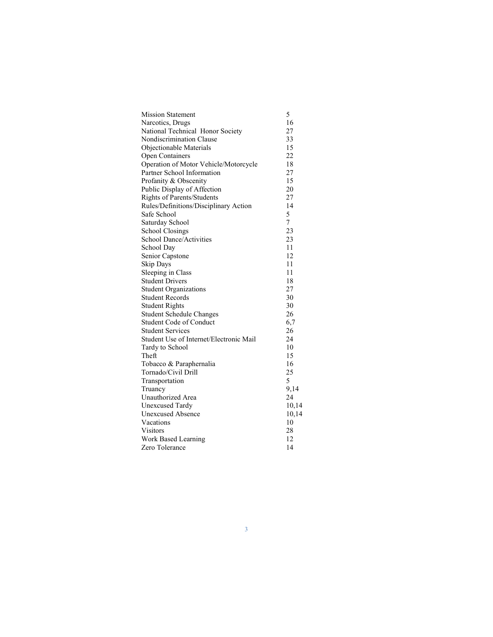| <b>Mission Statement</b>                | 5     |
|-----------------------------------------|-------|
| Narcotics, Drugs                        | 16    |
| National Technical Honor Society        | 27    |
| Nondiscrimination Clause                | 33    |
| Objectionable Materials                 | 15    |
| <b>Open Containers</b>                  | 22    |
| Operation of Motor Vehicle/Motorcycle   | 18    |
| Partner School Information              | 27    |
| Profanity & Obscenity                   | 15    |
| Public Display of Affection             | 20    |
| <b>Rights of Parents/Students</b>       | 27    |
| Rules/Definitions/Disciplinary Action   | 14    |
| Safe School                             | 5     |
| Saturday School                         | 7     |
| <b>School Closings</b>                  | 23    |
| <b>School Dance/Activities</b>          | 23    |
| School Day                              | 11    |
| Senior Capstone                         | 12    |
| Skip Days                               | 11    |
| Sleeping in Class                       | 11    |
| <b>Student Drivers</b>                  | 18    |
| <b>Student Organizations</b>            | 27    |
| <b>Student Records</b>                  | 30    |
| Student Rights                          | 30    |
| <b>Student Schedule Changes</b>         | 26    |
| <b>Student Code of Conduct</b>          | 6,7   |
| <b>Student Services</b>                 | 26    |
| Student Use of Internet/Electronic Mail | 24    |
| Tardy to School                         | 10    |
| Theft                                   | 15    |
| Tobacco & Paraphernalia                 | 16    |
| Tornado/Civil Drill                     | 25    |
| Transportation                          | 5     |
| Truancy                                 | 9,14  |
| Unauthorized Area                       | 24    |
| <b>Unexcused Tardy</b>                  | 10,14 |
| <b>Unexcused Absence</b>                | 10,14 |
| Vacations                               | 10    |
| Visitors                                | 28    |
| Work Based Learning                     | 12    |
| Zero Tolerance                          | 14    |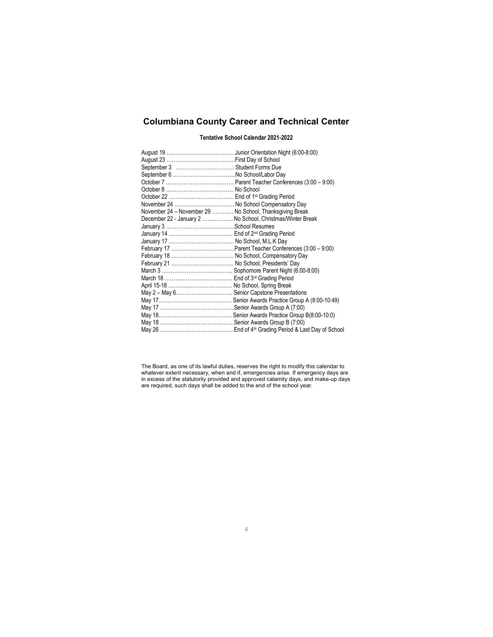# Columbiana County Career and Technical Center

#### Tentative School Calendar 2021-2022

| November 24 - November 29  No School, Thanksgiving Break  |  |
|-----------------------------------------------------------|--|
| December 22 - January 2 No School, Christmas/Winter Break |  |
|                                                           |  |
|                                                           |  |
|                                                           |  |
|                                                           |  |
|                                                           |  |
|                                                           |  |
|                                                           |  |
|                                                           |  |
|                                                           |  |
| May 2 - May 6 Senior Capstone Presentations               |  |
|                                                           |  |
|                                                           |  |
|                                                           |  |
|                                                           |  |
|                                                           |  |

The Board, as one of its lawful duties, reserves the right to modify this calendar to whatever extent necessary, when and if, emergencies arise. If emergency days are in excess of the statutorily provided and approved calamity days, and make-up days are required, such days shall be added to the end of the school year.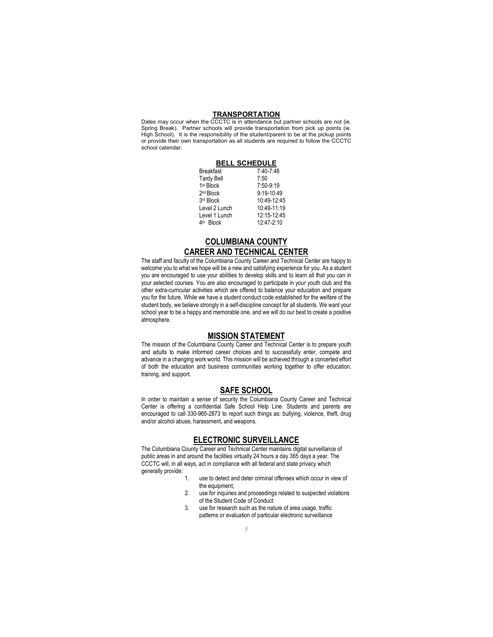#### **TRANSPORTATION**

Dates may occur when the CCCTC is in attendance but partner schools are not (ie. Spring Break). Partner schools will provide transportation from pick up points (ie. High School). It is the responsibility of the student/parent to be at the pickup points or provide their own transportation as all students are required to follow the CCCTC school calendar.

|                       | <b>BELL SCHEDULE</b> |
|-----------------------|----------------------|
| <b>Breakfast</b>      | 7:40-7:48            |
| <b>Tardy Bell</b>     | 7:50                 |
| 1 <sup>st</sup> Block | 7:50-9:19            |
| 2 <sup>nd</sup> Block | 9:19-10:49           |
| 3rd Block             | 10:49-12:45          |
| Level 2 Lunch         | 10:49-11:19          |
| Level 1 Lunch         | 12:15-12:45          |
| <b>Block</b><br>4th   | 12:47-2:10           |

## COLUMBIANA COUNTY CAREER AND TECHNICAL CENTER

The staff and faculty of the Columbiana County Career and Technical Center are happy to welcome you to what we hope will be a new and satisfying experience for you. As a student you are encouraged to use your abilities to develop skills and to learn all that you can in your selected courses. You are also encouraged to participate in your youth club and the other extra-curricular activities which are offered to balance your education and prepare you for the future. While we have a student conduct code established for the welfare of the student body, we believe strongly in a self-discipline concept for all students. We want your school year to be a happy and memorable one, and we will do our best to create a positive atmosphere.

### MISSION STATEMENT

The mission of the Columbiana County Career and Technical Center is to prepare youth and adults to make informed career choices and to successfully enter, compete and advance in a changing work world. This mission will be achieved through a concerted effort of both the education and business communities working together to offer education, training, and support.

#### SAFE SCHOOL

In order to maintain a sense of security the Columbiana County Career and Technical Center is offering a confidential Safe School Help Line. Students and parents are encouraged to call 330-965-2873 to report such things as: bullying, violence, theft, drug and/or alcohol abuse, harassment, and weapons.

## ELECTRONIC SURVEILLANCE

The Columbiana County Career and Technical Center maintains digital surveillance of public areas in and around the facilities virtually 24 hours a day 365 days a year. The CCCTC will, in all ways, act in compliance with all federal and state privacy which generally provide:

- 1. use to detect and deter criminal offenses which occur in view of the equipment;
- 2. use for inquiries and proceedings related to suspected violations of the Student Code of Conduct:
- 3. use for research such as the nature of area usage, traffic patterns or evaluation of particular electronic surveillance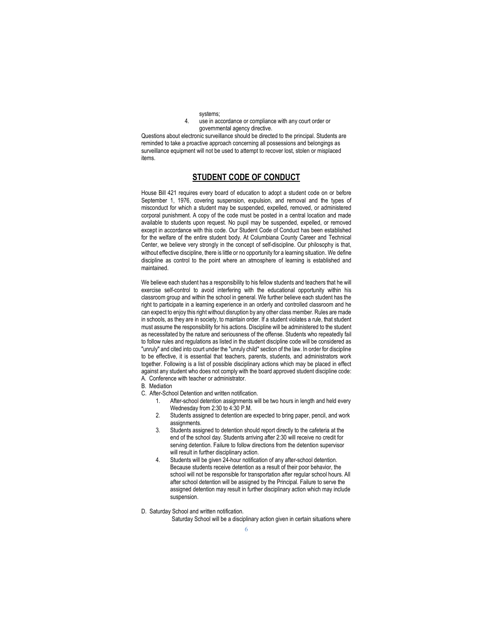- systems;
- 4. use in accordance or compliance with any court order or governmental agency directive.

Questions about electronic surveillance should be directed to the principal. Students are reminded to take a proactive approach concerning all possessions and belongings as surveillance equipment will not be used to attempt to recover lost, stolen or misplaced items.

## STUDENT CODE OF CONDUCT

House Bill 421 requires every board of education to adopt a student code on or before September 1, 1976, covering suspension, expulsion, and removal and the types of misconduct for which a student may be suspended, expelled, removed, or administered corporal punishment. A copy of the code must be posted in a central location and made available to students upon request. No pupil may be suspended, expelled, or removed except in accordance with this code. Our Student Code of Conduct has been established for the welfare of the entire student body. At Columbiana County Career and Technical Center, we believe very strongly in the concept of self-discipline. Our philosophy is that, without effective discipline, there is little or no opportunity for a learning situation. We define discipline as control to the point where an atmosphere of learning is established and maintained.

We believe each student has a responsibility to his fellow students and teachers that he will exercise self-control to avoid interfering with the educational opportunity within his classroom group and within the school in general. We further believe each student has the right to participate in a learning experience in an orderly and controlled classroom and he can expect to enjoy this right without disruption by any other class member. Rules are made in schools, as they are in society, to maintain order. If a student violates a rule, that student must assume the responsibility for his actions. Discipline will be administered to the student as necessitated by the nature and seriousness of the offense. Students who repeatedly fail to follow rules and regulations as listed in the student discipline code will be considered as "unruly" and cited into court under the "unruly child" section of the law. In order for discipline to be effective, it is essential that teachers, parents, students, and administrators work together. Following is a list of possible disciplinary actions which may be placed in effect against any student who does not comply with the board approved student discipline code: A. Conference with teacher or administrator.

- B. Mediation
- C. After-School Detention and written notification.
	- 1. After-school detention assignments will be two hours in length and held every Wednesday from 2:30 to 4:30 P.M.
	- 2. Students assigned to detention are expected to bring paper, pencil, and work assignments.
	- 3. Students assigned to detention should report directly to the cafeteria at the end of the school day. Students arriving after 2:30 will receive no credit for serving detention. Failure to follow directions from the detention supervisor will result in further disciplinary action.
	- 4. Students will be given 24-hour notification of any after-school detention. Because students receive detention as a result of their poor behavior, the school will not be responsible for transportation after regular school hours. All after school detention will be assigned by the Principal. Failure to serve the assigned detention may result in further disciplinary action which may include suspension.
- D. Saturday School and written notification.

Saturday School will be a disciplinary action given in certain situations where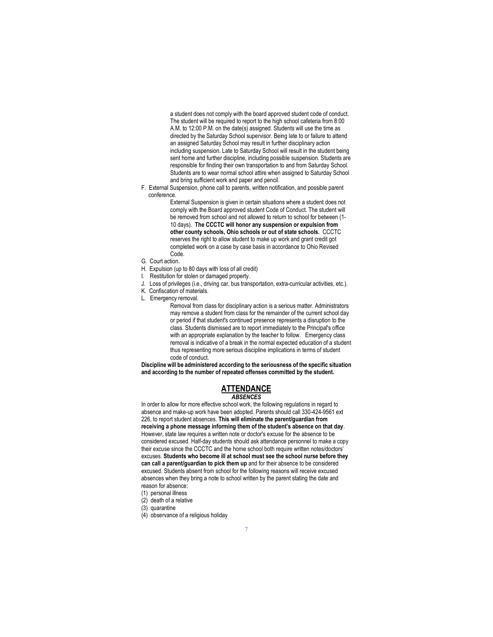a student does not comply with the board approved student code of conduct. The student will be required to report to the high school cafeteria from 8:00 A.M. to 12:00 P.M. on the date(s) assigned. Students will use the time as directed by the Saturday School supervisor. Being late to or failure to attend an assigned Saturday School may result in further disciplinary action including suspension. Late to Saturday School will result in the student being sent home and further discipline, including possible suspension. Students are responsible for finding their own transportation to and from Saturday School. Students are to wear normal school attire when assigned to Saturday School and bring sufficient work and paper and pencil.

F. External Suspension, phone call to parents, written notification, and possible parent conference.

> External Suspension is given in certain situations where a student does not comply with the Board approved student Code of Conduct. The student will be removed from school and not allowed to return to school for between (1- 10 days). The CCCTC will honor any suspension or expulsion from other county schools, Ohio schools or out of state schools. CCCTC reserves the right to allow student to make up work and grant credit got completed work on a case by case basis in accordance to Ohio Revised Code.

- G. Court action.
- H. Expulsion (up to 80 days with loss of all credit)
- I. Restitution for stolen or damaged property.
- J. Loss of privileges (i.e., driving car, bus transportation, extra-curricular activities, etc.).
- K. Confiscation of materials.
- L. Emergency removal.

Removal from class for disciplinary action is a serious matter. Administrators may remove a student from class for the remainder of the current school day or period if that student's continued presence represents a disruption to the class. Students dismissed are to report immediately to the Principal's office with an appropriate explanation by the teacher to follow. Emergency class removal is indicative of a break in the normal expected education of a student thus representing more serious discipline implications in terms of student code of conduct.

Discipline will be administered according to the seriousness of the specific situation and according to the number of repeated offenses committed by the student.

# **ATTENDANCE**

#### **ABSENCES**

In order to allow for more effective school work, the following regulations in regard to absence and make-up work have been adopted. Parents should call 330-424-9561 ext 226, to report student absences. This will eliminate the parent/guardian from receiving a phone message informing them of the student's absence on that day. However, state law requires a written note or doctor's excuse for the absence to be considered excused. Half-day students should ask attendance personnel to make a copy their excuse since the CCCTC and the home school both require written notes/doctors' excuses. Students who become ill at school must see the school nurse before they can call a parent/guardian to pick them up and for their absence to be considered excused. Students absent from school for the following reasons will receive excused absences when they bring a note to school written by the parent stating the date and reason for absence:

- (1) personal illness
- (2) death of a relative
- (3) quarantine
- (4) observance of a religious holiday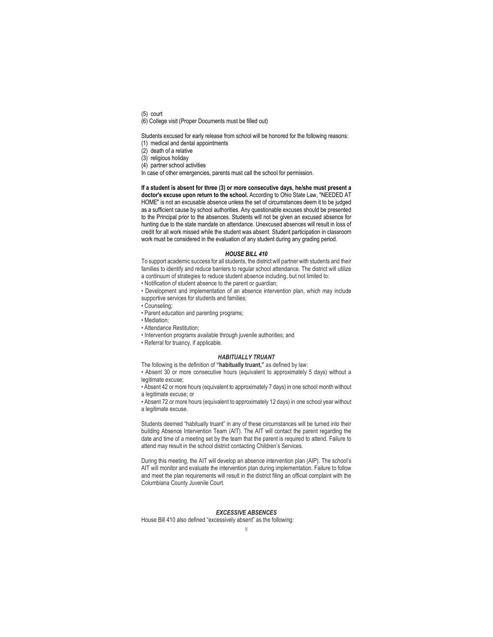(5) court

(6) College visit (Proper Documents must be filled out)

Students excused for early release from school will be honored for the following reasons: (1) medical and dental appointments

- (2) death of a relative
- (3) religious holiday
- 
- (4) partner school activities

In case of other emergencies, parents must call the school for permission.

#### If a student is absent for three (3) or more consecutive days, he/she must present a

doctor's excuse upon return to the school. According to Ohio State Law, "NEEDED AT HOME" is not an excusable absence unless the set of circumstances deem it to be judged as a sufficient cause by school authorities. Any questionable excuses should be presented to the Principal prior to the absences. Students will not be given an excused absence for hunting due to the state mandate on attendance. Unexcused absences will result in loss of credit for all work missed while the student was absent. Student participation in classroom work must be considered in the evaluation of any student during any grading period.

#### HOUSE BILL 410

To support academic success for all students, the district will partner with students and their families to identify and reduce barriers to regular school attendance. The district will utilize a continuum of strategies to reduce student absence including, but not limited to:

• Notification of student absence to the parent or guardian;

• Development and implementation of an absence intervention plan, which may include supportive services for students and families;

- Counseling;
- Parent education and parenting programs;
- Mediation;
- Attendance Restitution;
- Intervention programs available through juvenile authorities; and
- Referral for truancy, if applicable.

#### HABITUALLY TRUANT

The following is the definition of "habitually truant," as defined by law:

• Absent 30 or more consecutive hours (equivalent to approximately 5 days) without a legitimate excuse;

• Absent 42 or more hours (equivalent to approximately 7 days) in one school month without a legitimate excuse; or

• Absent 72 or more hours (equivalent to approximately 12 days) in one school year without a legitimate excuse.

Students deemed "habitually truant" in any of these circumstances will be turned into their building Absence Intervention Team (AIT). The AIT will contact the parent regarding the date and time of a meeting set by the team that the parent is required to attend. Failure to attend may result in the school district contacting Children's Services.

During this meeting, the AIT will develop an absence intervention plan (AIP). The school's AIT will monitor and evaluate the intervention plan during implementation. Failure to follow and meet the plan requirements will result in the district filing an official complaint with the Columbiana County Juvenile Court.

#### EXCESSIVE ABSENCES

House Bill 410 also defined "excessively absent" as the following: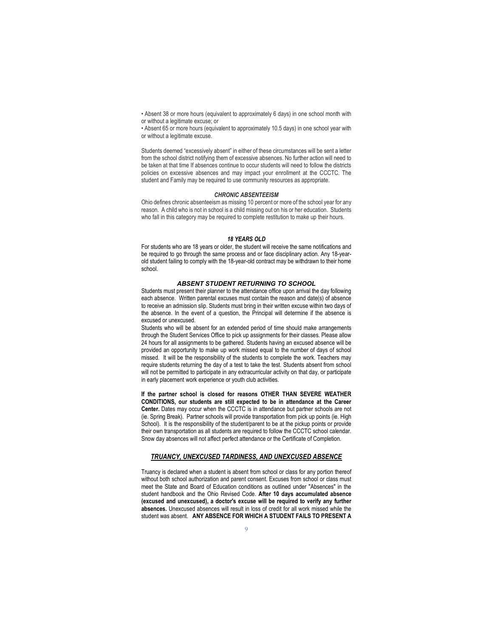• Absent 38 or more hours (equivalent to approximately 6 days) in one school month with or without a legitimate excuse; or

• Absent 65 or more hours (equivalent to approximately 10.5 days) in one school year with or without a legitimate excuse.

Students deemed "excessively absent" in either of these circumstances will be sent a letter from the school district notifying them of excessive absences. No further action will need to be taken at that time If absences continue to occur students will need to follow the districts policies on excessive absences and may impact your enrollment at the CCCTC. The student and Family may be required to use community resources as appropriate.

#### CHRONIC ABSENTEEISM

Ohio defines chronic absenteeism as missing 10 percent or more of the school year for any reason. A child who is not in school is a child missing out on his or her education. Students who fall in this category may be required to complete restitution to make up their hours.

#### 18 YEARS OLD

For students who are 18 years or older, the student will receive the same notifications and be required to go through the same process and or face disciplinary action. Any 18-yearold student failing to comply with the 18-year-old contract may be withdrawn to their home school.

#### ABSENT STUDENT RETURNING TO SCHOOL

Students must present their planner to the attendance office upon arrival the day following each absence. Written parental excuses must contain the reason and date(s) of absence to receive an admission slip. Students must bring in their written excuse within two days of the absence. In the event of a question, the Principal will determine if the absence is excused or unexcused.

Students who will be absent for an extended period of time should make arrangements through the Student Services Office to pick up assignments for their classes. Please allow 24 hours for all assignments to be gathered. Students having an excused absence will be provided an opportunity to make up work missed equal to the number of days of school missed. It will be the responsibility of the students to complete the work. Teachers may require students returning the day of a test to take the test. Students absent from school will not be permitted to participate in any extracurricular activity on that day, or participate in early placement work experience or youth club activities.

If the partner school is closed for reasons OTHER THAN SEVERE WEATHER CONDITIONS, our students are still expected to be in attendance at the Career Center. Dates may occur when the CCCTC is in attendance but partner schools are not (ie. Spring Break). Partner schools will provide transportation from pick up points (ie. High School). It is the responsibility of the student/parent to be at the pickup points or provide their own transportation as all students are required to follow the CCCTC school calendar. Snow day absences will not affect perfect attendance or the Certificate of Completion.

#### TRUANCY, UNEXCUSED TARDINESS, AND UNEXCUSED ABSENCE

Truancy is declared when a student is absent from school or class for any portion thereof without both school authorization and parent consent. Excuses from school or class must meet the State and Board of Education conditions as outlined under "Absences" in the student handbook and the Ohio Revised Code. After 10 days accumulated absence (excused and unexcused), a doctor's excuse will be required to verify any further absences. Unexcused absences will result in loss of credit for all work missed while the student was absent. ANY ABSENCE FOR WHICH A STUDENT FAILS TO PRESENT A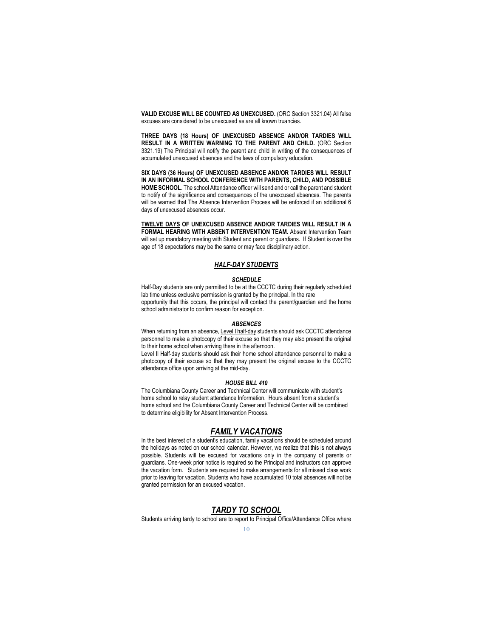VALID EXCUSE WILL BE COUNTED AS UNEXCUSED. (ORC Section 3321.04) All false excuses are considered to be unexcused as are all known truancies.

THREE DAYS (18 Hours) OF UNEXCUSED ABSENCE AND/OR TARDIES WILL RESULT IN A WRITTEN WARNING TO THE PARENT AND CHILD. (ORC Section 3321.19) The Principal will notify the parent and child in writing of the consequences of accumulated unexcused absences and the laws of compulsory education.

SIX DAYS (36 Hours) OF UNEXCUSED ABSENCE AND/OR TARDIES WILL RESULT IN AN INFORMAL SCHOOL CONFERENCE WITH PARENTS, CHILD, AND POSSIBLE HOME SCHOOL. The school Attendance officer will send and or call the parent and student to notify of the significance and consequences of the unexcused absences. The parents will be warned that The Absence Intervention Process will be enforced if an additional 6 days of unexcused absences occur.

TWELVE DAYS OF UNEXCUSED ABSENCE AND/OR TARDIES WILL RESULT IN A FORMAL HEARING WITH ABSENT INTERVENTION TEAM. Absent Intervention Team will set up mandatory meeting with Student and parent or guardians. If Student is over the age of 18 expectations may be the same or may face disciplinary action.

### HALF-DAY STUDENTS

#### SCHEDULE

Half-Day students are only permitted to be at the CCCTC during their regularly scheduled lab time unless exclusive permission is granted by the principal. In the rare opportunity that this occurs, the principal will contact the parent/guardian and the home school administrator to confirm reason for exception.

#### ABSENCES

When returning from an absence, Level I half-day students should ask CCCTC attendance personnel to make a photocopy of their excuse so that they may also present the original to their home school when arriving there in the afternoon.

Level II Half-day students should ask their home school attendance personnel to make a photocopy of their excuse so that they may present the original excuse to the CCCTC attendance office upon arriving at the mid-day.

#### HOUSE BILL 410

The Columbiana County Career and Technical Center will communicate with student's home school to relay student attendance Information. Hours absent from a student's home school and the Columbiana County Career and Technical Center will be combined to determine eligibility for Absent Intervention Process.

## FAMILY VACATIONS

In the best interest of a student's education, family vacations should be scheduled around the holidays as noted on our school calendar. However, we realize that this is not always possible. Students will be excused for vacations only in the company of parents or guardians. One-week prior notice is required so the Principal and instructors can approve the vacation form. Students are required to make arrangements for all missed class work prior to leaving for vacation. Students who have accumulated 10 total absences will not be granted permission for an excused vacation.

#### TARDY TO SCHOOL

Students arriving tardy to school are to report to Principal Office/Attendance Office where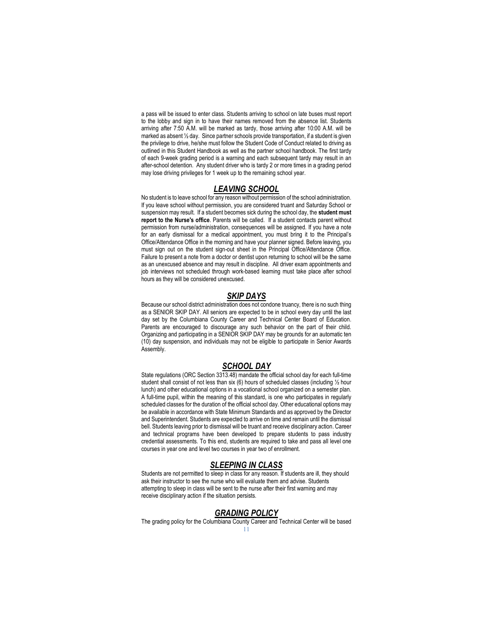a pass will be issued to enter class. Students arriving to school on late buses must report to the lobby and sign in to have their names removed from the absence list. Students arriving after 7:50 A.M. will be marked as tardy, those arriving after 10:00 A.M. will be marked as absent ½ day. Since partner schools provide transportation, if a student is given the privilege to drive, he/she must follow the Student Code of Conduct related to driving as outlined in this Student Handbook as well as the partner school handbook. The first tardy of each 9-week grading period is a warning and each subsequent tardy may result in an after-school detention. Any student driver who is tardy 2 or more times in a grading period may lose driving privileges for 1 week up to the remaining school year.

### LEAVING SCHOOL

No student is to leave school for any reason without permission of the school administration. If you leave school without permission, you are considered truant and Saturday School or suspension may result. If a student becomes sick during the school day, the student must report to the Nurse's office. Parents will be called. If a student contacts parent without permission from nurse/administration, consequences will be assigned. If you have a note for an early dismissal for a medical appointment, you must bring it to the Principal's Office/Attendance Office in the morning and have your planner signed. Before leaving, you must sign out on the student sign-out sheet in the Principal Office/Attendance Office. Failure to present a note from a doctor or dentist upon returning to school will be the same as an unexcused absence and may result in discipline. All driver exam appointments and job interviews not scheduled through work-based learning must take place after school hours as they will be considered unexcused.

## SKIP DAYS

Because our school district administration does not condone truancy, there is no such thing as a SENIOR SKIP DAY. All seniors are expected to be in school every day until the last day set by the Columbiana County Career and Technical Center Board of Education. Parents are encouraged to discourage any such behavior on the part of their child. Organizing and participating in a SENIOR SKIP DAY may be grounds for an automatic ten (10) day suspension, and individuals may not be eligible to participate in Senior Awards Assembly.

#### SCHOOL DAY

State regulations (ORC Section 3313.48) mandate the official school day for each full-time student shall consist of not less than six (6) hours of scheduled classes (including ½ hour lunch) and other educational options in a vocational school organized on a semester plan. A full-time pupil, within the meaning of this standard, is one who participates in regularly scheduled classes for the duration of the official school day. Other educational options may be available in accordance with State Minimum Standards and as approved by the Director and Superintendent. Students are expected to arrive on time and remain until the dismissal bell. Students leaving prior to dismissal will be truant and receive disciplinary action. Career and technical programs have been developed to prepare students to pass industry credential assessments. To this end, students are required to take and pass all level one courses in year one and level two courses in year two of enrollment.

## SLEEPING IN CLASS

Students are not permitted to sleep in class for any reason. If students are ill, they should ask their instructor to see the nurse who will evaluate them and advise. Students attempting to sleep in class will be sent to the nurse after their first warning and may receive disciplinary action if the situation persists.

### GRADING POLICY

The grading policy for the Columbiana County Career and Technical Center will be based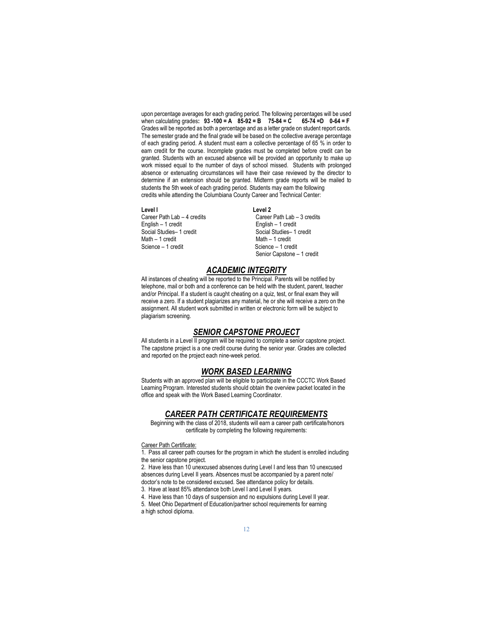upon percentage averages for each grading period. The following percentages will be used<br>when calculating grades:  $93 - 100 = A$  85-92 = B 75-84 = C 65-74 = D 0-64 = F when calculating grades:  $93 - 100 = A$   $85 - 92 = B$   $75 - 84 = C$ Grades will be reported as both a percentage and as a letter grade on student report cards. The semester grade and the final grade will be based on the collective average percentage of each grading period. A student must earn a collective percentage of 65 % in order to earn credit for the course. Incomplete grades must be completed before credit can be granted. Students with an excused absence will be provided an opportunity to make up work missed equal to the number of days of school missed. Students with prolonged absence or extenuating circumstances will have their case reviewed by the director to determine if an extension should be granted. Midterm grade reports will be mailed to students the 5th week of each grading period. Students may earn the following credits while attending the Columbiana County Career and Technical Center:

Level I<br>Career Path Lab - 4 credits Career English – 1 credit<br>
Social Studies – 1 credit<br>
Social Studies – 1 credit Social Studies– 1 credit<br>
Math – 1 credit<br>
Math – 1 credit Math – 1 credit<br>
Science – 1 credit<br>
Science – 1 credit

Career Path Lab – 3 credits Science – 1 credit Senior Capstone – 1 credit

## **ACADEMIC INTEGRITY**

All instances of cheating will be reported to the Principal. Parents will be notified by telephone, mail or both and a conference can be held with the student, parent, teacher and/or Principal. If a student is caught cheating on a quiz, test, or final exam they will receive a zero. If a student plagiarizes any material, he or she will receive a zero on the assignment. All student work submitted in written or electronic form will be subject to plagiarism screening.

## **SENIOR CAPSTONE PROJECT**

All students in a Level II program will be required to complete a senior capstone project. The capstone project is a one credit course during the senior year. Grades are collected and reported on the project each nine-week period.

#### WORK BASED LEARNING

Students with an approved plan will be eligible to participate in the CCCTC Work Based Learning Program. Interested students should obtain the overview packet located in the office and speak with the Work Based Learning Coordinator.

#### CAREER PATH CERTIFICATE REQUIREMENTS

Beginning with the class of 2018, students will earn a career path certificate/honors certificate by completing the following requirements:

#### Career Path Certificate:

1. Pass all career path courses for the program in which the student is enrolled including the senior capstone project.

2. Have less than 10 unexcused absences during Level I and less than 10 unexcused absences during Level II years. Absences must be accompanied by a parent note/ doctor's note to be considered excused. See attendance policy for details. 3. Have at least 85% attendance both Level I and Level II years.

4. Have less than 10 days of suspension and no expulsions during Level II year. 5. Meet Ohio Department of Education/partner school requirements for earning a high school diploma.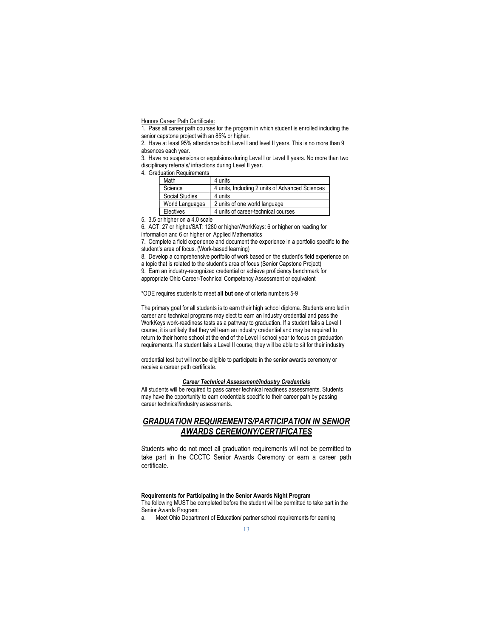Honors Career Path Certificate:

1. Pass all career path courses for the program in which student is enrolled including the senior capstone project with an 85% or higher.

2. Have at least 95% attendance both Level I and level II years. This is no more than 9 absences each year.

3. Have no suspensions or expulsions during Level I or Level II years. No more than two disciplinary referrals/ infractions during Level II year.

4. Graduation Requirements

| Math            | 4 units                                         |
|-----------------|-------------------------------------------------|
| Science         | 4 units, Including 2 units of Advanced Sciences |
| Social Studies  | 4 units                                         |
| World Languages | 2 units of one world language                   |
| Electives       | 4 units of career-technical courses             |

5. 3.5 or higher on a 4.0 scale

6. ACT: 27 or higher/SAT: 1280 or higher/WorkKeys: 6 or higher on reading for information and 6 or higher on Applied Mathematics

7. Complete a field experience and document the experience in a portfolio specific to the student's area of focus. (Work-based learning)

8. Develop a comprehensive portfolio of work based on the student's field experience on a topic that is related to the student's area of focus (Senior Capstone Project) 9. Earn an industry-recognized credential or achieve proficiency benchmark for

appropriate Ohio Career-Technical Competency Assessment or equivalent

\*ODE requires students to meet all but one of criteria numbers 5-9

The primary goal for all students is to earn their high school diploma. Students enrolled in career and technical programs may elect to earn an industry credential and pass the WorkKeys work-readiness tests as a pathway to graduation. If a student fails a Level I course, it is unlikely that they will earn an industry credential and may be required to return to their home school at the end of the Level I school year to focus on graduation requirements. If a student fails a Level II course, they will be able to sit for their industry

credential test but will not be eligible to participate in the senior awards ceremony or receive a career path certificate.

#### Career Technical Assessment/Industry Credentials

All students will be required to pass career technical readiness assessments. Students may have the opportunity to earn credentials specific to their career path by passing career technical/industry assessments.

## GRADUATION REQUIREMENTS/PARTICIPATION IN SENIOR AWARDS CEREMONY/CERTIFICATES

Students who do not meet all graduation requirements will not be permitted to take part in the CCCTC Senior Awards Ceremony or earn a career path certificate.

#### Requirements for Participating in the Senior Awards Night Program

The following MUST be completed before the student will be permitted to take part in the Senior Awards Program:

a. Meet Ohio Department of Education/ partner school requirements for earning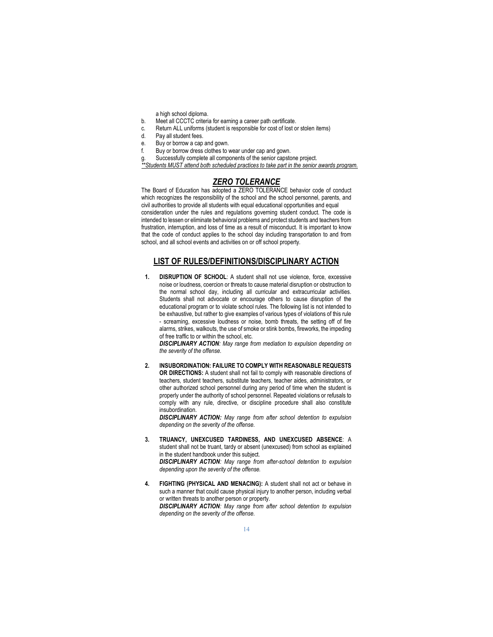a high school diploma.

- b. Meet all CCCTC criteria for earning a career path certificate.
- c. Return ALL uniforms (student is responsible for cost of lost or stolen items)
- d. Pay all student fees.
- e. Buy or borrow a cap and gown.<br> $f = R_{UV}$  or borrow dress clothes to v
- Buy or borrow dress clothes to wear under cap and gown.<br>Successfully complete all components of the senior capstone project.

g. Successfully complete all components of the senior capstone project. \*\*Students MUST attend both scheduled practices to take part in the senior awards program.

## ZERO TOLERANCE

The Board of Education has adopted a ZERO TOLERANCE behavior code of conduct which recognizes the responsibility of the school and the school personnel, parents, and civil authorities to provide all students with equal educational opportunities and equal consideration under the rules and regulations governing student conduct. The code is intended to lessen or eliminate behavioral problems and protect students and teachers from frustration, interruption, and loss of time as a result of misconduct. It is important to know that the code of conduct applies to the school day including transportation to and from school, and all school events and activities on or off school property.

## LIST OF RULES/DEFINITIONS/DISCIPLINARY ACTION

1. **DISRUPTION OF SCHOOL:** A student shall not use violence, force, excessive noise or loudness, coercion or threats to cause material disruption or obstruction to the normal school day, including all curricular and extracurricular activities. Students shall not advocate or encourage others to cause disruption of the educational program or to violate school rules. The following list is not intended to be exhaustive, but rather to give examples of various types of violations of this rule - screaming, excessive loudness or noise, bomb threats, the setting off of fire alarms, strikes, walkouts, the use of smoke or stink bombs, fireworks, the impeding of free traffic to or within the school, etc.

**DISCIPLINARY ACTION:** May range from mediation to expulsion depending on the severity of the offense.

2. INSUBORDINATION: FAILURE TO COMPLY WITH REASONABLE REQUESTS OR DIRECTIONS: A student shall not fail to comply with reasonable directions of teachers, student teachers, substitute teachers, teacher aides, administrators, or other authorized school personnel during any period of time when the student is properly under the authority of school personnel. Repeated violations or refusals to comply with any rule, directive, or discipline procedure shall also constitute insubordination.

DISCIPLINARY ACTION: May range from after school detention to expulsion depending on the severity of the offense.

- 3. TRUANCY, UNEXCUSED TARDINESS, AND UNEXCUSED ABSENCE: A student shall not be truant, tardy or absent (unexcused) from school as explained in the student handbook under this subject. DISCIPLINARY ACTION: May range from after-school detention to expulsion depending upon the severity of the offense.
- 4. FIGHTING (PHYSICAL AND MENACING): A student shall not act or behave in such a manner that could cause physical injury to another person, including verbal or written threats to another person or property. DISCIPLINARY ACTION: May range from after school detention to expulsion depending on the severity of the offense.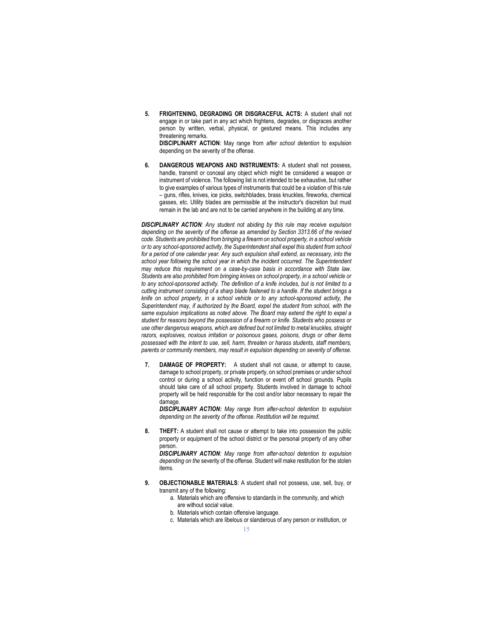5. FRIGHTENING, DEGRADING OR DISGRACEFUL ACTS: A student shall not engage in or take part in any act which frightens, degrades, or disgraces another person by written, verbal, physical, or gestured means. This includes any threatening remarks.

DISCIPLINARY ACTION: May range from after school detention to expulsion depending on the severity of the offense.

6. DANGEROUS WEAPONS AND INSTRUMENTS: A student shall not possess, handle, transmit or conceal any object which might be considered a weapon or instrument of violence. The following list is not intended to be exhaustive, but rather to give examples of various types of instruments that could be a violation of this rule – guns, rifles, knives, ice picks, switchblades, brass knuckles, fireworks, chemical gasses, etc. Utility blades are permissible at the instructor's discretion but must remain in the lab and are not to be carried anywhere in the building at any time.

**DISCIPLINARY ACTION:** Any student not abiding by this rule may receive expulsion depending on the severity of the offense as amended by Section 3313.66 of the revised code. Students are prohibited from bringing a firearm on school property, in a school vehicle or to any school-sponsored activity, the Superintendent shall expel this student from school for a period of one calendar year. Any such expulsion shall extend, as necessary, into the school year following the school year in which the incident occurred. The Superintendent may reduce this requirement on a case-by-case basis in accordance with State law. Students are also prohibited from bringing knives on school property, in a school vehicle or to any school-sponsored activity. The definition of a knife includes, but is not limited to a cutting instrument consisting of a sharp blade fastened to a handle. If the student brings a knife on school property, in a school vehicle or to any school-sponsored activity, the Superintendent may, if authorized by the Board, expel the student from school, with the same expulsion implications as noted above. The Board may extend the right to expel a student for reasons beyond the possession of a firearm or knife. Students who possess or use other dangerous weapons, which are defined but not limited to metal knuckles, straight razors, explosives, noxious irritation or poisonous gases, poisons, drugs or other items possessed with the intent to use, sell, harm, threaten or harass students, staff members, parents or community members, may result in expulsion depending on severity of offense.

7. DAMAGE OF PROPERTY: A student shall not cause, or attempt to cause, damage to school property, or private property, on school premises or under school control or during a school activity, function or event off school grounds. Pupils should take care of all school property. Students involved in damage to school property will be held responsible for the cost and/or labor necessary to repair the damage

DISCIPLINARY ACTION: May range from after-school detention to expulsion depending on the severity of the offense. Restitution will be required.

8. **THEFT:** A student shall not cause or attempt to take into possession the public property or equipment of the school district or the personal property of any other person.

**DISCIPLINARY ACTION:** May range from after-school detention to expulsion depending on the severity of the offense. Student will make restitution for the stolen items.

- 9. **OBJECTIONABLE MATERIALS:** A student shall not possess, use, sell, buy, or transmit any of the following:
	- a. Materials which are offensive to standards in the community, and which
		- are without social value.
	- b. Materials which contain offensive language. c. Materials which are libelous or slanderous of any person or institution, or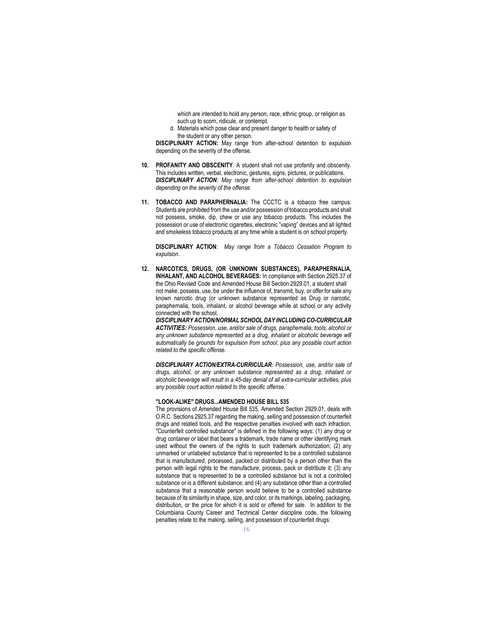which are intended to hold any person, race, ethnic group, or religion as such up to scorn, ridicule, or contempt.

d. Materials which pose clear and present danger to health or safety of the student or any other person.

DISCIPLINARY ACTION: May range from after-school detention to expulsion depending on the severity of the offense.

- 10. PROFANITY AND OBSCENITY: A student shall not use profanity and obscenity. This includes written, verbal, electronic, gestures, signs, pictures, or publications. DISCIPLINARY ACTION: May range from after-school detention to expulsion depending on the severity of the offense.
- 11. **TOBACCO AND PARAPHERNALIA:** The CCCTC is a tobacco free campus. Students are prohibited from the use and/or possession of tobacco products and shall not possess, smoke, dip, chew or use any tobacco products. This includes the possession or use of electronic cigarettes, electronic "vaping" devices and all lighted and smokeless tobacco products at any time while a student is on school property.

DISCIPLINARY ACTION: May range from a Tobacco Cessation Program to expulsion.

12. NARCOTICS, DRUGS, (OR UNKNOWN SUBSTANCES), PARAPHERNALIA, INHALANT, AND ALCOHOL BEVERAGES: In compliance with Section 2925.37 of the Ohio Revised Code and Amended House Bill Section 2929.01, a student shall not make, possess, use, be under the influence of, transmit, buy, or offer for sale any known narcotic drug (or unknown substance represented as Drug or narcotic, paraphernalia, tools, inhalant, or alcohol beverage while at school or any activity connected with the school.

DISCIPLINARY ACTION/NORMAL SCHOOL DAY INCLUDING CO-CURRICULAR ACTIVITIES: Possession, use, and/or sale of drugs, paraphernalia, tools, alcohol or any unknown substance represented as a drug, inhalant or alcoholic beverage will automatically be grounds for expulsion from school, plus any possible court action related to the specific offense.

DISCIPLINARY ACTION/EXTRA-CURRICULAR: Possession, use, and/or sale of drugs, alcohol, or any unknown substance represented as a drug, inhalant or alcoholic beverage will result in a 45-day denial of all extra-curricular activities, plus any possible court action related to the specific offense.'

#### "LOOK-ALIKE" DRUGS...AMENDED HOUSE BILL 535

The provisions of Amended House Bill 535, Amended Section 2929.01, deals with O.R.C. Sections 2925.37 regarding the making, selling and possession of counterfeit drugs and related tools, and the respective penalties involved with each infraction. "Counterfeit controlled substance" is defined in the following ways: (1) any drug or drug container or label that bears a trademark, trade name or other identifying mark used without the owners of the rights to such trademark authorization; (2) any unmarked or unlabeled substance that is represented to be a controlled substance that is manufactured, processed, packed or distributed by a person other than the person with legal rights to the manufacture, process, pack or distribute it; (3) any substance that is represented to be a controlled substance but is not a controlled substance or is a different substance; and (4) any substance other than a controlled substance that a reasonable person would believe to be a controlled substance because of its similarity in shape, size, and color, or its markings, labeling, packaging, distribution, or the price for which it is sold or offered for sale. In addition to the Columbiana County Career and Technical Center discipline code, the following penalties relate to the making, selling, and possession of counterfeit drugs: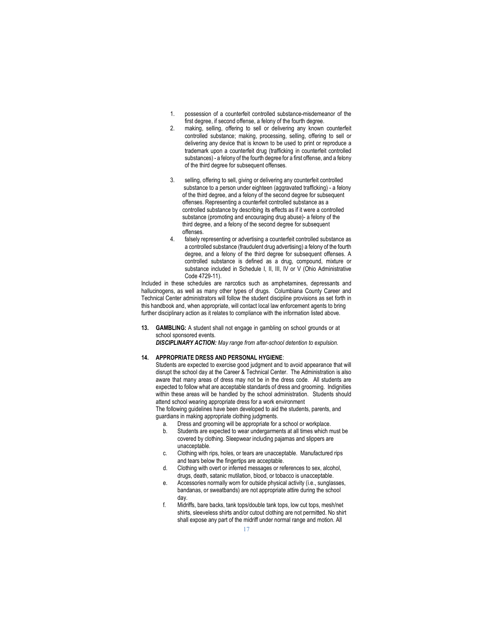- 1. possession of a counterfeit controlled substance-misdemeanor of the first degree, if second offense, a felony of the fourth degree.
- 2. making, selling, offering to sell or delivering any known counterfeit controlled substance; making, processing, selling, offering to sell or delivering any device that is known to be used to print or reproduce a trademark upon a counterfeit drug (trafficking in counterfeit controlled substances) - a felony of the fourth degree for a first offense, and a felony of the third degree for subsequent offenses.
- 3. selling, offering to sell, giving or delivering any counterfeit controlled substance to a person under eighteen (aggravated trafficking) - a felony of the third degree, and a felony of the second degree for subsequent offenses. Representing a counterfeit controlled substance as a controlled substance by describing its effects as if it were a controlled substance (promoting and encouraging drug abuse)- a felony of the third degree, and a felony of the second degree for subsequent offenses.
- 4. falsely representing or advertising a counterfeit controlled substance as a controlled substance (fraudulent drug advertising) a felony of the fourth degree, and a felony of the third degree for subsequent offenses. A controlled substance is defined as a drug, compound, mixture or substance included in Schedule I, II, III, IV or V (Ohio Administrative Code 4729-11).

Included in these schedules are narcotics such as amphetamines, depressants and hallucinogens, as well as many other types of drugs. Columbiana County Career and Technical Center administrators will follow the student discipline provisions as set forth in this handbook and, when appropriate, will contact local law enforcement agents to bring further disciplinary action as it relates to compliance with the information listed above.

13. GAMBLING: A student shall not engage in gambling on school grounds or at school sponsored events.

DISCIPLINARY ACTION: May range from after-school detention to expulsion.

#### 14. APPROPRIATE DRESS AND PERSONAL HYGIENE:

 Students are expected to exercise good judgment and to avoid appearance that will disrupt the school day at the Career & Technical Center. The Administration is also aware that many areas of dress may not be in the dress code. All students are expected to follow what are acceptable standards of dress and grooming. Indignities within these areas will be handled by the school administration. Students should attend school wearing appropriate dress for a work environment

The following guidelines have been developed to aid the students, parents, and guardians in making appropriate clothing judgments.

- a. Dress and grooming will be appropriate for a school or workplace.
- b. Students are expected to wear undergarments at all times which must be covered by clothing. Sleepwear including pajamas and slippers are unacceptable.
- c. Clothing with rips, holes, or tears are unacceptable. Manufactured rips and tears below the fingertips are acceptable.
- d. Clothing with overt or inferred messages or references to sex, alcohol, drugs, death, satanic mutilation, blood, or tobacco is unacceptable.
- e. Accessories normally worn for outside physical activity (i.e., sunglasses, bandanas, or sweatbands) are not appropriate attire during the school day.
- f. Midriffs, bare backs, tank tops/double tank tops, low cut tops, mesh/net shirts, sleeveless shirts and/or cutout clothing are not permitted. No shirt shall expose any part of the midriff under normal range and motion. All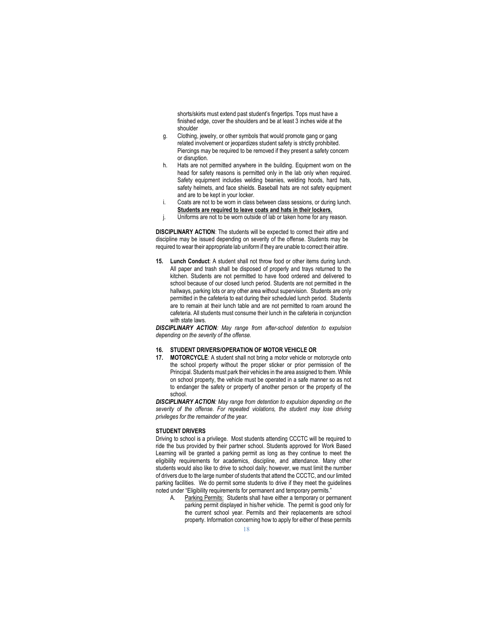shorts/skirts must extend past student's fingertips. Tops must have a finished edge, cover the shoulders and be at least 3 inches wide at the shoulder

- g. Clothing, jewelry, or other symbols that would promote gang or gang related involvement or jeopardizes student safety is strictly prohibited. Piercings may be required to be removed if they present a safety concern or disruption.
- h. Hats are not permitted anywhere in the building. Equipment worn on the head for safety reasons is permitted only in the lab only when required. Safety equipment includes welding beanies, welding hoods, hard hats, safety helmets, and face shields. Baseball hats are not safety equipment and are to be kept in your locker.
- i. Coats are not to be worn in class between class sessions, or during lunch. Students are required to leave coats and hats in their lockers.
- j. Uniforms are not to be worn outside of lab or taken home for any reason.

DISCIPLINARY ACTION: The students will be expected to correct their attire and discipline may be issued depending on severity of the offense. Students may be required to wear their appropriate lab uniform if they are unable to correct their attire.

Lunch Conduct: A student shall not throw food or other items during lunch. All paper and trash shall be disposed of properly and trays returned to the kitchen. Students are not permitted to have food ordered and delivered to school because of our closed lunch period. Students are not permitted in the hallways, parking lots or any other area without supervision. Students are only permitted in the cafeteria to eat during their scheduled lunch period. Students are to remain at their lunch table and are not permitted to roam around the cafeteria. All students must consume their lunch in the cafeteria in conjunction with state laws.

DISCIPLINARY ACTION: May range from after-school detention to expulsion depending on the severity of the offense.

#### 16. STUDENT DRIVERS/OPERATION OF MOTOR VEHICLE OR

17. MOTORCYCLE: A student shall not bring a motor vehicle or motorcycle onto the school property without the proper sticker or prior permission of the Principal. Students must park their vehicles in the area assigned to them. While on school property, the vehicle must be operated in a safe manner so as not to endanger the safety or property of another person or the property of the school.

**DISCIPLINARY ACTION:** May range from detention to expulsion depending on the severity of the offense. For repeated violations, the student may lose driving privileges for the remainder of the year.

#### STUDENT DRIVERS

Driving to school is a privilege. Most students attending CCCTC will be required to ride the bus provided by their partner school. Students approved for Work Based Learning will be granted a parking permit as long as they continue to meet the eligibility requirements for academics, discipline, and attendance. Many other students would also like to drive to school daily; however, we must limit the number of drivers due to the large number of students that attend the CCCTC, and our limited parking facilities. We do permit some students to drive if they meet the guidelines noted under "Eligibility requirements for permanent and temporary permits."

A. Parking Permits: Students shall have either a temporary or permanent parking permit displayed in his/her vehicle. The permit is good only for the current school year. Permits and their replacements are school property. Information concerning how to apply for either of these permits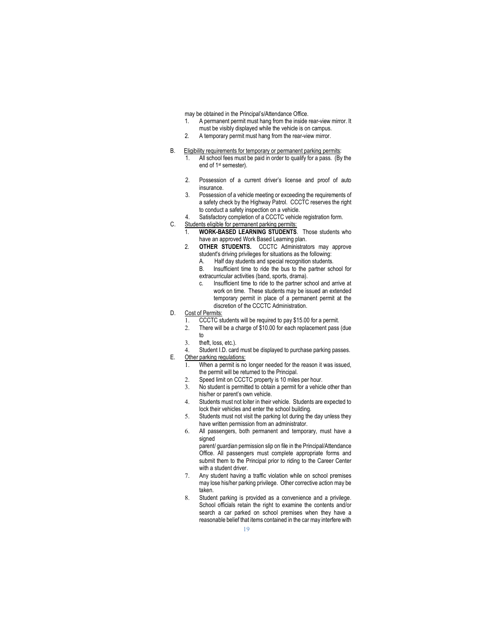may be obtained in the Principal's/Attendance Office.

- 1. A permanent permit must hang from the inside rear-view mirror. It must be visibly displayed while the vehicle is on campus.
- 2. A temporary permit must hang from the rear-view mirror.
- B. Eligibility requirements for temporary or permanent parking permits:
	- 1. All school fees must be paid in order to qualify for a pass. (By the end of 1st semester).
	- 2. Possession of a current driver's license and proof of auto insurance.
	- 3. Possession of a vehicle meeting or exceeding the requirements of a safety check by the Highway Patrol. CCCTC reserves the right to conduct a safety inspection on a vehicle.
	- 4. Satisfactory completion of a CCCTC vehicle registration form.
- C. Students eligible for permanent parking permits:
	- 1. WORK-BASED LEARNING STUDENTS. Those students who have an approved Work Based Learning plan.
	- 2. **OTHER STUDENTS.** CCCTC Administrators may approve student's driving privileges for situations as the following:
		- A. Half day students and special recognition students.<br>B. Insufficient time to ride the hus to the partner sch
		- Insufficient time to ride the bus to the partner school for extracurricular activities (band, sports, drama).
		- c. Insufficient time to ride to the partner school and arrive at work on time. These students may be issued an extended temporary permit in place of a permanent permit at the discretion of the CCCTC Administration.
- D. Cost of Permits:
	- 1. CCCTC students will be required to pay \$15.00 for a permit.
	- 2. There will be a charge of \$10.00 for each replacement pass (due to
	- 3. theft, loss, etc.).
- 4. Student I.D. card must be displayed to purchase parking passes. E. Other parking regulations:
	- 1. When a permit is no longer needed for the reason it was issued, the permit will be returned to the Principal.
		- 2. Speed limit on CCCTC property is 10 miles per hour.
		- 3. No student is permitted to obtain a permit for a vehicle other than his/her or parent's own vehicle.
		- 4. Students must not loiter in their vehicle. Students are expected to lock their vehicles and enter the school building.
		- 5. Students must not visit the parking lot during the day unless they have written permission from an administrator.
		- 6. All passengers, both permanent and temporary, must have a signed
			- parent/ guardian permission slip on file in the Principal/Attendance Office. All passengers must complete appropriate forms and submit them to the Principal prior to riding to the Career Center with a student driver.
		- 7. Any student having a traffic violation while on school premises may lose his/her parking privilege. Other corrective action may be taken.
		- 8. Student parking is provided as a convenience and a privilege. School officials retain the right to examine the contents and/or search a car parked on school premises when they have a reasonable belief that items contained in the car may interfere with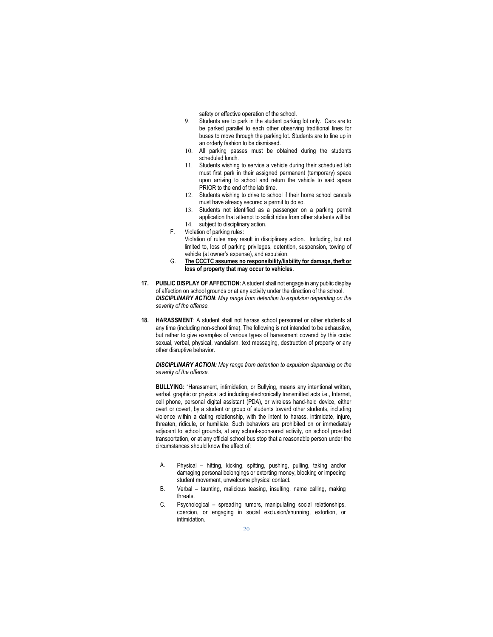safety or effective operation of the school.

- 9. Students are to park in the student parking lot only. Cars are to be parked parallel to each other observing traditional lines for buses to move through the parking lot. Students are to line up in an orderly fashion to be dismissed.
- 10. All parking passes must be obtained during the students scheduled lunch.
- 11. Students wishing to service a vehicle during their scheduled lab must first park in their assigned permanent (temporary) space upon arriving to school and return the vehicle to said space PRIOR to the end of the lab time.
- 12. Students wishing to drive to school if their home school cancels must have already secured a permit to do so.
- 13. Students not identified as a passenger on a parking permit application that attempt to solicit rides from other students will be 14. subject to disciplinary action.
- F. Violation of parking rules:

Violation of rules may result in disciplinary action. Including, but not limited to, loss of parking privileges, detention, suspension, towing of vehicle (at owner's expense), and expulsion.

- G. The CCCTC assumes no responsibility/liability for damage, theft or loss of property that may occur to vehicles.
- 17. PUBLIC DISPLAY OF AFFECTION: A student shall not engage in any public display of affection on school grounds or at any activity under the direction of the school. **DISCIPLINARY ACTION:** May range from detention to expulsion depending on the severity of the offense.
- 18. HARASSMENT: A student shall not harass school personnel or other students at any time (including non-school time). The following is not intended to be exhaustive, but rather to give examples of various types of harassment covered by this code: sexual, verbal, physical, vandalism, text messaging, destruction of property or any other disruptive behavior.

**DISCIPLINARY ACTION:** May range from detention to expulsion depending on the severity of the offense.

BULLYING: "Harassment, intimidation, or Bullying, means any intentional written, verbal, graphic or physical act including electronically transmitted acts i.e., Internet, cell phone, personal digital assistant (PDA), or wireless hand-held device, either overt or covert, by a student or group of students toward other students, including violence within a dating relationship, with the intent to harass, intimidate, injure, threaten, ridicule, or humiliate. Such behaviors are prohibited on or immediately adjacent to school grounds, at any school-sponsored activity, on school provided transportation, or at any official school bus stop that a reasonable person under the circumstances should know the effect of:

- A. Physical hitting, kicking, spitting, pushing, pulling, taking and/or damaging personal belongings or extorting money, blocking or impeding student movement, unwelcome physical contact.
- B. Verbal taunting, malicious teasing, insulting, name calling, making threats.
- C. Psychological spreading rumors, manipulating social relationships, coercion, or engaging in social exclusion/shunning, extortion, or intimidation.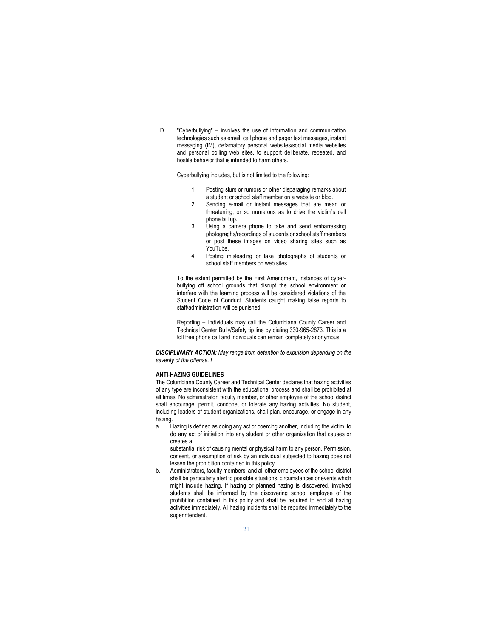D. "Cyberbullying" – involves the use of information and communication technologies such as email, cell phone and pager text messages, instant messaging (IM), defamatory personal websites/social media websites and personal polling web sites, to support deliberate, repeated, and hostile behavior that is intended to harm others.

Cyberbullying includes, but is not limited to the following:

- 1. Posting slurs or rumors or other disparaging remarks about a student or school staff member on a website or blog.
- 2. Sending e-mail or instant messages that are mean or threatening, or so numerous as to drive the victim's cell phone bill up.
- 3. Using a camera phone to take and send embarrassing photographs/recordings of students or school staff members or post these images on video sharing sites such as YouTube.
- 4. Posting misleading or fake photographs of students or school staff members on web sites.

To the extent permitted by the First Amendment, instances of cyberbullying off school grounds that disrupt the school environment or interfere with the learning process will be considered violations of the Student Code of Conduct. Students caught making false reports to staff/administration will be punished.

Reporting – Individuals may call the Columbiana County Career and Technical Center Bully/Safety tip line by dialing 330-965-2873. This is a toll free phone call and individuals can remain completely anonymous.

**DISCIPLINARY ACTION:** May range from detention to expulsion depending on the severity of the offense. I

#### ANTI-HAZING GUIDELINES

The Columbiana County Career and Technical Center declares that hazing activities of any type are inconsistent with the educational process and shall be prohibited at all times. No administrator, faculty member, or other employee of the school district shall encourage, permit, condone, or tolerate any hazing activities. No student, including leaders of student organizations, shall plan, encourage, or engage in any hazing.

a. Hazing is defined as doing any act or coercing another, including the victim, to do any act of initiation into any student or other organization that causes or creates a

substantial risk of causing mental or physical harm to any person. Permission, consent, or assumption of risk by an individual subjected to hazing does not lessen the prohibition contained in this policy.

b. Administrators, faculty members, and all other employees of the school district shall be particularly alert to possible situations, circumstances or events which might include hazing. If hazing or planned hazing is discovered, involved students shall be informed by the discovering school employee of the prohibition contained in this policy and shall be required to end all hazing activities immediately. All hazing incidents shall be reported immediately to the superintendent.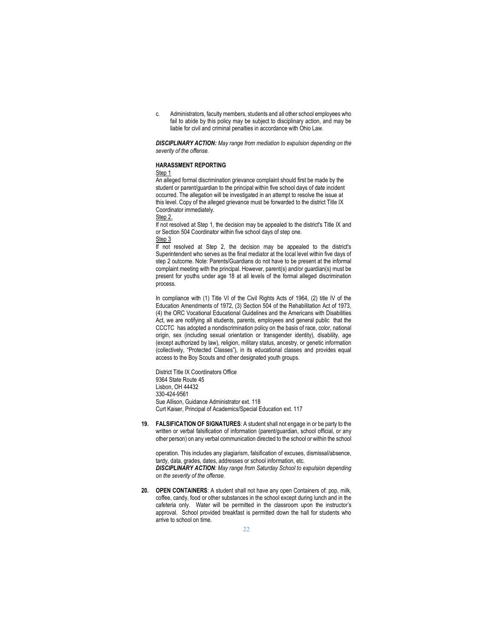c. Administrators, faculty members, students and all other school employees who fail to abide by this policy may be subject to disciplinary action, and may be liable for civil and criminal penalties in accordance with Ohio Law.

DISCIPLINARY ACTION: May range from mediation to expulsion depending on the severity of the offense.

#### HARASSMENT REPORTING

#### Step 1

An alleged formal discrimination grievance complaint should first be made by the student or parent/guardian to the principal within five school days of date incident occurred. The allegation will be investigated in an attempt to resolve the issue at this level. Copy of the alleged grievance must be forwarded to the district Title IX Coordinator immediately.

Step 2.

If not resolved at Step 1, the decision may be appealed to the district's Title IX and or Section 504 Coordinator within five school days of step one.

Step 3

If not resolved at Step 2, the decision may be appealed to the district's Superintendent who serves as the final mediator at the local level within five days of step 2 outcome. Note: Parents/Guardians do not have to be present at the informal complaint meeting with the principal. However, parent(s) and/or guardian(s) must be present for youths under age 18 at all levels of the formal alleged discrimination process.

In compliance with (1) Title VI of the Civil Rights Acts of 1964, (2) title IV of the Education Amendments of 1972, (3) Section 504 of the Rehabilitation Act of 1973, (4) the ORC Vocational Educational Guidelines and the Americans with Disabilities Act, we are notifying all students, parents, employees and general public that the CCCTC has adopted a nondiscrimination policy on the basis of race, color, national origin, sex (including sexual orientation or transgender identity), disability, age (except authorized by law), religion, military status, ancestry, or genetic information (collectively, "Protected Classes"), in its educational classes and provides equal access to the Boy Scouts and other designated youth groups.

District Title IX Coordinators Office 9364 State Route 45 Lisbon, OH 44432 330-424-9561 Sue Allison, Guidance Administrator ext. 118 Curt Kaiser, Principal of Academics/Special Education ext. 117

19. FALSIFICATION OF SIGNATURES: A student shall not engage in or be party to the written or verbal falsification of information (parent/guardian, school official, or any other person) on any verbal communication directed to the school or within the school

operation. This includes any plagiarism, falsification of excuses, dismissal/absence, tardy, data, grades, dates, addresses or school information, etc.

DISCIPLINARY ACTION: May range from Saturday School to expulsion depending on the severity of the offense.

20. OPEN CONTAINERS: A student shall not have any open Containers of: pop, milk, coffee, candy, food or other substances in the school except during lunch and in the cafeteria only. Water will be permitted in the classroom upon the instructor's approval. School provided breakfast is permitted down the hall for students who arrive to school on time.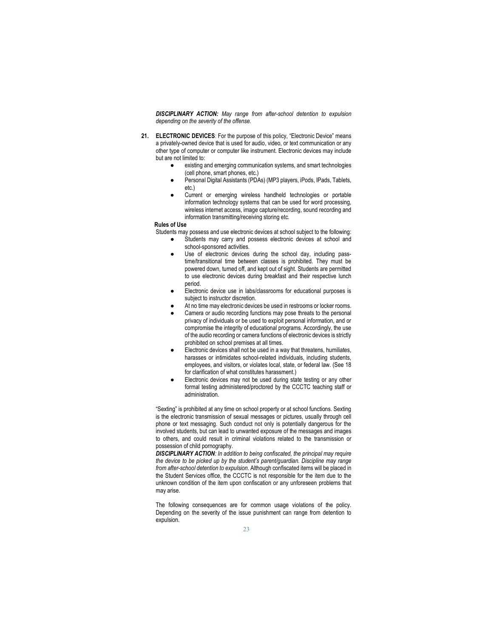DISCIPLINARY ACTION: May range from after-school detention to expulsion depending on the severity of the offense.

- 21. ELECTRONIC DEVICES: For the purpose of this policy, "Electronic Device" means a privately-owned device that is used for audio, video, or text communication or any other type of computer or computer like instrument. Electronic devices may include but are not limited to:
	- existing and emerging communication systems, and smart technologies (cell phone, smart phones, etc.)
	- Personal Digital Assistants (PDAs) (MP3 players, iPods, IPads, Tablets, etc.)
	- Current or emerging wireless handheld technologies or portable information technology systems that can be used for word processing, wireless internet access, image capture/recording, sound recording and information transmitting/receiving storing etc.

#### Rules of Use

Students may possess and use electronic devices at school subject to the following:

- Students may carry and possess electronic devices at school and school-sponsored activities.
- Use of electronic devices during the school day, including passtime/transitional time between classes is prohibited. They must be powered down, turned off, and kept out of sight. Students are permitted to use electronic devices during breakfast and their respective lunch period.
- Electronic device use in labs/classrooms for educational purposes is subject to instructor discretion.
- At no time may electronic devices be used in restrooms or locker rooms.
- Camera or audio recording functions may pose threats to the personal privacy of individuals or be used to exploit personal information, and or compromise the integrity of educational programs. Accordingly, the use of the audio recording or camera functions of electronic devices is strictly prohibited on school premises at all times.
- Electronic devices shall not be used in a way that threatens, humiliates, harasses or intimidates school-related individuals, including students, employees, and visitors, or violates local, state, or federal law. (See 18 for clarification of what constitutes harassment.)
- Electronic devices may not be used during state testing or any other formal testing administered/proctored by the CCCTC teaching staff or administration.

"Sexting" is prohibited at any time on school property or at school functions. Sexting is the electronic transmission of sexual messages or pictures, usually through cell phone or text messaging. Such conduct not only is potentially dangerous for the involved students, but can lead to unwanted exposure of the messages and images to others, and could result in criminal violations related to the transmission or possession of child pornography.

**DISCIPLINARY ACTION:** In addition to being confiscated, the principal may require the device to be picked up by the student's parent/guardian. Discipline may range from after-school detention to expulsion. Although confiscated items will be placed in the Student Services office, the CCCTC is not responsible for the item due to the unknown condition of the item upon confiscation or any unforeseen problems that may arise.

The following consequences are for common usage violations of the policy. Depending on the severity of the issue punishment can range from detention to expulsion.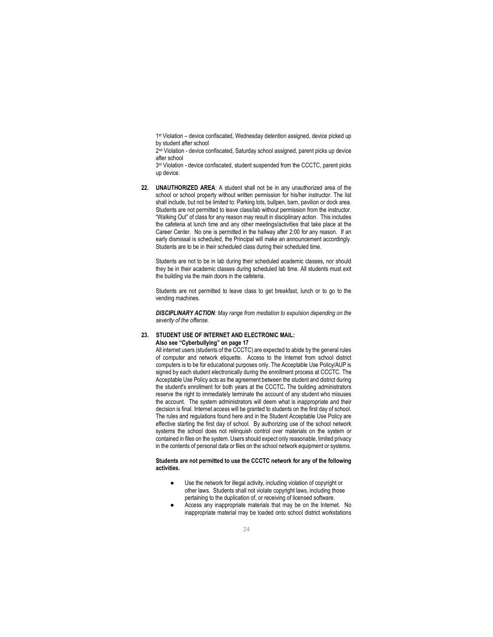1 st Violation – device confiscated, Wednesday detention assigned, device picked up by student after school

2<sup>nd</sup> Violation - device confiscated, Saturday school assigned, parent picks up device after school

3<sup>rd</sup> Violation - device confiscated, student suspended from the CCCTC, parent picks up device.

22. UNAUTHORIZED AREA: A student shall not be in any unauthorized area of the school or school property without written permission for his/her instructor. The list shall include, but not be limited to: Parking lots, bullpen, barn, pavilion or dock area. Students are not permitted to leave class/lab without permission from the instructor. "Walking Out" of class for any reason may result in disciplinary action. This includes the cafeteria at lunch time and any other meetings/activities that take place at the Career Center. No one is permitted in the hallway after 2:00 for any reason. If an early dismissal is scheduled, the Principal will make an announcement accordingly. Students are to be in their scheduled class during their scheduled time.

 Students are not to be in lab during their scheduled academic classes, nor should they be in their academic classes during scheduled lab time. All students must exit the building via the main doors in the cafeteria.

 Students are not permitted to leave class to get breakfast, lunch or to go to the vending machines.

**DISCIPLINARY ACTION:** May range from mediation to expulsion depending on the severity of the offense.

# 23. STUDENT USE OF INTERNET AND ELECTRONIC MAIL:

Also see "Cyberbullying" on page 17

All internet users (students of the CCCTC) are expected to abide by the general rules of computer and network etiquette. Access to the Internet from school district computers is to be for educational purposes only. The Acceptable Use Policy/AUP is signed by each student electronically during the enrollment process at CCCTC. The Acceptable Use Policy acts as the agreement between the student and district during the student's enrollment for both years at the CCCTC. The building administrators reserve the right to immediately terminate the account of any student who misuses the account. The system administrators will deem what is inappropriate and their decision is final. Internet access will be granted to students on the first day of school. The rules and regulations found here and in the Student Acceptable Use Policy are effective starting the first day of school. By authorizing use of the school network systems the school does not relinquish control over materials on the system or contained in files on the system. Users should expect only reasonable, limited privacy in the contents of personal data or files on the school network equipment or systems.

#### Students are not permitted to use the CCCTC network for any of the following activities.

- Use the network for illegal activity, including violation of copyright or other laws. Students shall not violate copyright laws, including those pertaining to the duplication of, or receiving of licensed software.
- Access any inappropriate materials that may be on the Internet. No inappropriate material may be loaded onto school district workstations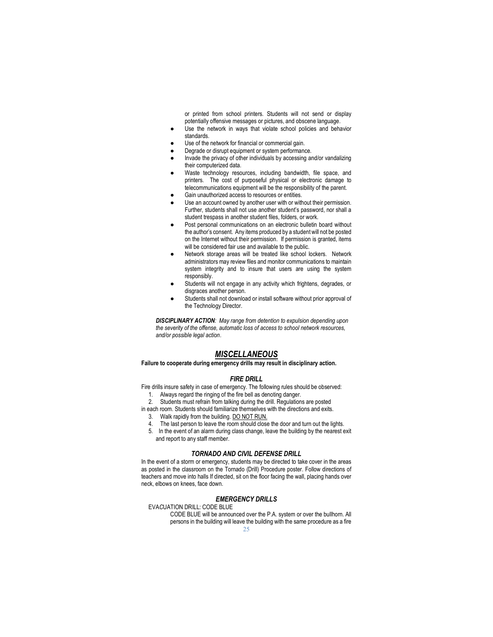or printed from school printers. Students will not send or display potentially offensive messages or pictures, and obscene language.

- Use the network in ways that violate school policies and behavior standards.
- Use of the network for financial or commercial gain.
- Degrade or disrupt equipment or system performance.
- Invade the privacy of other individuals by accessing and/or vandalizing their computerized data.
- Waste technology resources, including bandwidth, file space, and printers. The cost of purposeful physical or electronic damage to telecommunications equipment will be the responsibility of the parent.
- Gain unauthorized access to resources or entities.
- Use an account owned by another user with or without their permission. Further, students shall not use another student's password, nor shall a student trespass in another student files, folders, or work.
- Post personal communications on an electronic bulletin board without the author's consent. Any items produced by a student will not be posted on the Internet without their permission. If permission is granted, items will be considered fair use and available to the public.
- Network storage areas will be treated like school lockers. Network administrators may review files and monitor communications to maintain system integrity and to insure that users are using the system responsibly.
- Students will not engage in any activity which frightens, degrades, or disgraces another person.
- Students shall not download or install software without prior approval of the Technology Director.

**DISCIPLINARY ACTION:** May range from detention to expulsion depending upon the severity of the offense, automatic loss of access to school network resources, and/or possible legal action.

## **MISCELLANEOUS**

### Failure to cooperate during emergency drills may result in disciplinary action.

#### FIRE DRILL

Fire drills insure safety in case of emergency. The following rules should be observed: 1. Always regard the ringing of the fire bell as denoting danger.

- 2. Students must refrain from talking during the drill. Regulations are posted
- in each room. Students should familiarize themselves with the directions and exits.
	- 3. Walk rapidly from the building. DO NOT RUN.
	- 4. The last person to leave the room should close the door and turn out the lights.
- 5. In the event of an alarm during class change, leave the building by the nearest exit and report to any staff member.

#### TORNADO AND CIVIL DEFENSE DRILL

In the event of a storm or emergency, students may be directed to take cover in the areas as posted in the classroom on the Tornado (Drill) Procedure poster. Follow directions of teachers and move into halls If directed, sit on the floor facing the wall, placing hands over neck, elbows on knees, face down.

#### EMERGENCY DRILLS

EVACUATION DRILL: CODE BLUE

CODE BLUE will be announced over the P.A. system or over the bullhorn. All persons in the building will leave the building with the same procedure as a fire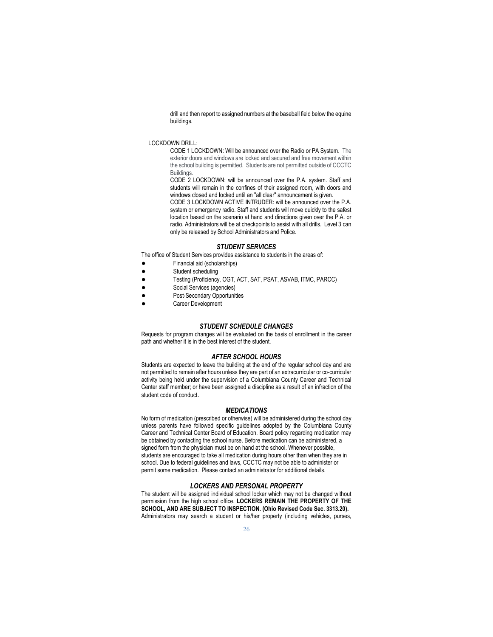drill and then report to assigned numbers at the baseball field below the equine buildings.

### LOCKDOWN DRILL:

CODE 1 LOCKDOWN: Will be announced over the Radio or PA System. The exterior doors and windows are locked and secured and free movement within the school building is permitted. Students are not permitted outside of CCCTC Buildings.

CODE 2 LOCKDOWN: will be announced over the P.A. system. Staff and students will remain in the confines of their assigned room, with doors and windows closed and locked until an "all clear" announcement is given.

CODE 3 LOCKDOWN ACTIVE INTRUDER: will be announced over the P.A. system or emergency radio. Staff and students will move quickly to the safest location based on the scenario at hand and directions given over the P.A. or radio. Administrators will be at checkpoints to assist with all drills. Level 3 can only be released by School Administrators and Police.

#### STUDENT SERVICES

The office of Student Services provides assistance to students in the areas of:

- Financial aid (scholarships)
- Student scheduling
- Testing (Proficiency, OGT, ACT, SAT, PSAT, ASVAB, ITMC, PARCC)
- Social Services (agencies)
- Post-Secondary Opportunities
- Career Development

#### STUDENT SCHEDULE CHANGES

Requests for program changes will be evaluated on the basis of enrollment in the career path and whether it is in the best interest of the student.

#### AFTER SCHOOL HOURS

Students are expected to leave the building at the end of the regular school day and are not permitted to remain after hours unless they are part of an extracurricular or co-curricular activity being held under the supervision of a Columbiana County Career and Technical Center staff member; or have been assigned a discipline as a result of an infraction of the student code of conduct.

#### **MEDICATIONS**

No form of medication (prescribed or otherwise) will be administered during the school day unless parents have followed specific guidelines adopted by the Columbiana County Career and Technical Center Board of Education. Board policy regarding medication may be obtained by contacting the school nurse. Before medication can be administered, a signed form from the physician must be on hand at the school. Whenever possible, students are encouraged to take all medication during hours other than when they are in school. Due to federal guidelines and laws, CCCTC may not be able to administer or permit some medication. Please contact an administrator for additional details.

#### LOCKERS AND PERSONAL PROPERTY

The student will be assigned individual school locker which may not be changed without permission from the high school office. LOCKERS REMAIN THE PROPERTY OF THE SCHOOL, AND ARE SUBJECT TO INSPECTION. (Ohio Revised Code Sec. 3313.20). Administrators may search a student or his/her property (including vehicles, purses,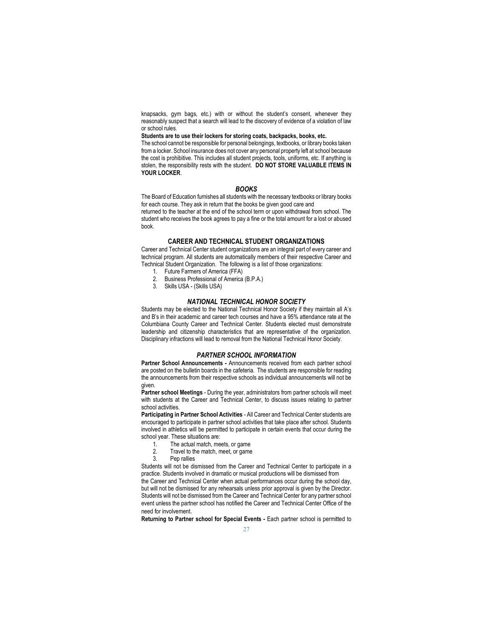knapsacks, gym bags, etc.) with or without the student's consent, whenever they reasonably suspect that a search will lead to the discovery of evidence of a violation of law or school rules.

Students are to use their lockers for storing coats, backpacks, books, etc.

The school cannot be responsible for personal belongings, textbooks, or library books taken from a locker. School insurance does not cover any personal property left at school because the cost is prohibitive. This includes all student projects, tools, uniforms, etc. If anything is stolen, the responsibility rests with the student. DO NOT STORE VALUABLE ITEMS IN YOUR LOCKER.

#### BOOKS

The Board of Education furnishes all students with the necessary textbooks or library books for each course. They ask in return that the books be given good care and

returned to the teacher at the end of the school term or upon withdrawal from school. The student who receives the book agrees to pay a fine or the total amount for a lost or abused book.

#### CAREER AND TECHNICAL STUDENT ORGANIZATIONS

Career and Technical Center student organizations are an integral part of every career and technical program. All students are automatically members of their respective Career and Technical Student Organization. The following is a list of those organizations:

- 1. Future Farmers of America (FFA) 2. Business Professional of America (B.P.A.)
- 
- 3. Skills USA (Skills USA)

#### NATIONAL TECHNICAL HONOR SOCIETY

Students may be elected to the National Technical Honor Society if they maintain all A's and B's in their academic and career tech courses and have a 95% attendance rate at the Columbiana County Career and Technical Center. Students elected must demonstrate leadership and citizenship characteristics that are representative of the organization. Disciplinary infractions will lead to removal from the National Technical Honor Society.

### PARTNER SCHOOL INFORMATION

Partner School Announcements - Announcements received from each partner school are posted on the bulletin boards in the cafeteria. The students are responsible for reading the announcements from their respective schools as individual announcements will not be given.

Partner school Meetings - During the year, administrators from partner schools will meet with students at the Career and Technical Center, to discuss issues relating to partner school activities.

Participating in Partner School Activities - All Career and Technical Center students are encouraged to participate in partner school activities that take place after school. Students involved in athletics will be permitted to participate in certain events that occur during the school year. These situations are:

- 1. The actual match, meets, or game<br>2. Travel to the match, meet, or game
- 2. Travel to the match, meet, or game<br>3. Pep rallies
- Pep rallies

Students will not be dismissed from the Career and Technical Center to participate in a practice. Students involved in dramatic or musical productions will be dismissed from

the Career and Technical Center when actual performances occur during the school day, but will not be dismissed for any rehearsals unless prior approval is given by the Director. Students will not be dismissed from the Career and Technical Center for any partner school event unless the partner school has notified the Career and Technical Center Office of the need for involvement.

Returning to Partner school for Special Events - Each partner school is permitted to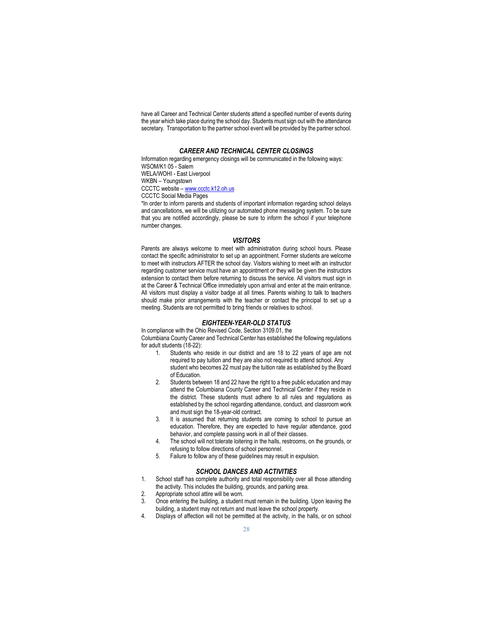have all Career and Technical Center students attend a specified number of events during the year which take place during the school day. Students must sign out with the attendance secretary. Transportation to the partner school event will be provided by the partner school.

#### CAREER AND TECHNICAL CENTER CLOSINGS

Information regarding emergency closings will be communicated in the following ways: WSOM/K1 05 - Salem WELA/WOHI - East Liverpool WKBN – Youngstown CCCTC website – www.ccctc.k12.oh.us CCCTC Social Media Pages

\*In order to inform parents and students of important information regarding school delays and cancellations, we will be utilizing our automated phone messaging system. To be sure that you are notified accordingly, please be sure to inform the school if your telephone number changes.

#### **VISITORS**

Parents are always welcome to meet with administration during school hours. Please contact the specific administrator to set up an appointment. Former students are welcome to meet with instructors AFTER the school day. Visitors wishing to meet with an instructor regarding customer service must have an appointment or they will be given the instructors extension to contact them before returning to discuss the service. All visitors must sign in at the Career & Technical Office immediately upon arrival and enter at the main entrance. All visitors must display a visitor badge at all times. Parents wishing to talk to teachers should make prior arrangements with the teacher or contact the principal to set up a meeting. Students are not permitted to bring friends or relatives to school.

### EIGHTEEN-YEAR-OLD STATUS

In compliance with the Ohio Revised Code, Section 3109.01, the Columbiana County Career and Technical Center has established the following regulations for adult students (18-22):

- Students who reside in our district and are 18 to 22 years of age are not required to pay tuition and they are also not required to attend school. Any student who becomes 22 must pay the tuition rate as established by the Board of Education.
- 2. Students between 18 and 22 have the right to a free public education and may attend the Columbiana County Career and Technical Center if they reside in the district. These students must adhere to all rules and regulations as established by the school regarding attendance, conduct, and classroom work and must sign the 18-year-old contract.
- 3. It is assumed that returning students are coming to school to pursue an education. Therefore, they are expected to have regular attendance, good behavior, and complete passing work in all of their classes.
- 4. The school will not tolerate loitering in the halls, restrooms, on the grounds, or refusing to follow directions of school personnel.
- 5. Failure to follow any of these guidelines may result in expulsion.

#### SCHOOL DANCES AND ACTIVITIES

- 1. School staff has complete authority and total responsibility over all those attending the activity. This includes the building, grounds, and parking area.
- 2. Appropriate school attire will be worn.
- 3. Once entering the building, a student must remain in the building. Upon leaving the building, a student may not return and must leave the school property.
- 4. Displays of affection will not be permitted at the activity, in the halls, or on school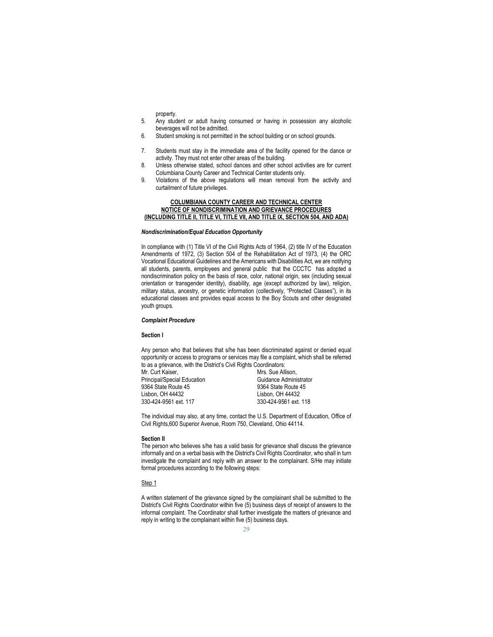property.

- 5. Any student or adult having consumed or having in possession any alcoholic beverages will not be admitted.
- 6. Student smoking is not permitted in the school building or on school grounds.
- 7. Students must stay in the immediate area of the facility opened for the dance or activity. They must not enter other areas of the building.
- 8. Unless otherwise stated, school dances and other school activities are for current Columbiana County Career and Technical Center students only.
- 9. Violations of the above regulations will mean removal from the activity and curtailment of future privileges.

#### COLUMBIANA COUNTY CAREER AND TECHNICAL CENTER NOTICE OF NONDISCRIMINATION AND GRIEVANCE PROCEDURES (INCLUDING TITLE II, TITLE VI, TITLE VII, AND TITLE IX, SECTION 504, AND ADA)

#### Nondiscrimination/Equal Education Opportunity

In compliance with (1) Title VI of the Civil Rights Acts of 1964, (2) title IV of the Education Amendments of 1972, (3) Section 504 of the Rehabilitation Act of 1973, (4) the ORC Vocational Educational Guidelines and the Americans with Disabilities Act, we are notifying all students, parents, employees and general public that the CCCTC has adopted a nondiscrimination policy on the basis of race, color, national origin, sex (including sexual orientation or transgender identity), disability, age (except authorized by law), religion, military status, ancestry, or genetic information (collectively, "Protected Classes"), in its educational classes and provides equal access to the Boy Scouts and other designated youth groups.

#### Complaint Procedure

#### Section I

Any person who that believes that s/he has been discriminated against or denied equal opportunity or access to programs or services may file a complaint, which shall be referred to as a grievance, with the District's Civil Rights Coordinators:

Principal/Special Education<br>9364 State Route 45 9364 State Route 45<br>
Lisbon, OH 44432<br>
Lisbon, OH 44432 Lisbon, OH 44432 Lisbon, OH 44432

Mrs. Sue Allison,<br>Guidance Administrator 330-424-9561 ext. 118

The individual may also, at any time, contact the U.S. Department of Education, Office of Civil Rights,600 Superior Avenue, Room 750, Cleveland, Ohio 44114.

#### Section II

The person who believes s/he has a valid basis for grievance shall discuss the grievance informally and on a verbal basis with the District's Civil Rights Coordinator, who shall in turn investigate the complaint and reply with an answer to the complainant. S/He may initiate formal procedures according to the following steps:

#### Step 1

A written statement of the grievance signed by the complainant shall be submitted to the District's Civil Rights Coordinator within five (5) business days of receipt of answers to the informal complaint. The Coordinator shall further investigate the matters of grievance and reply in writing to the complainant within five (5) business days.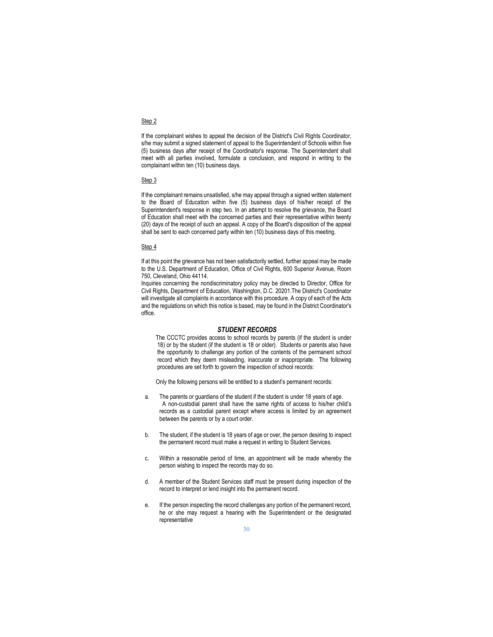#### Step 2

If the complainant wishes to appeal the decision of the District's Civil Rights Coordinator, s/he may submit a signed statement of appeal to the Superintendent of Schools within five (5) business days after receipt of the Coordinator's response. The Superintendent shall meet with all parties involved, formulate a conclusion, and respond in writing to the complainant within ten (10) business days.

#### Step 3

If the complainant remains unsatisfied, s/he may appeal through a signed written statement to the Board of Education within five (5) business days of his/her receipt of the Superintendent's response in step two. In an attempt to resolve the grievance, the Board of Education shall meet with the concerned parties and their representative within twenty (20) days of the receipt of such an appeal. A copy of the Board's disposition of the appeal shall be sent to each concerned party within ten (10) business days of this meeting.

#### Step 4

If at this point the grievance has not been satisfactorily settled, further appeal may be made to the U.S. Department of Education, Office of Civil Rights, 600 Superior Avenue, Room 750, Cleveland, Ohio 44114.

Inquiries concerning the nondiscriminatory policy may be directed to Director, Office for Civil Rights, Department of Education, Washington, D.C. 20201.The District's Coordinator will investigate all complaints in accordance with this procedure. A copy of each of the Acts and the regulations on which this notice is based, may be found in the District Coordinator's office.

#### STUDENT RECORDS

The CCCTC provides access to school records by parents (if the student is under 18) or by the student (if the student is 18 or older). Students or parents also have the opportunity to challenge any portion of the contents of the permanent school record which they deem misleading, inaccurate or inappropriate. The following procedures are set forth to govern the inspection of school records:

Only the following persons will be entitled to a student's permanent records:

- a. The parents or guardians of the student if the student is under 18 years of age. A non-custodial parent shall have the same rights of access to his/her child's records as a custodial parent except where access is limited by an agreement between the parents or by a court order.
- b. The student, if the student is 18 years of age or over, the person desiring to inspect the permanent record must make a request in writing to Student Services.
- c. Within a reasonable period of time, an appointment will be made whereby the person wishing to inspect the records may do so.
- d. A member of the Student Services staff must be present during inspection of the record to interpret or lend insight into the permanent record.
- e. If the person inspecting the record challenges any portion of the permanent record, he or she may request a hearing with the Superintendent or the designated representative